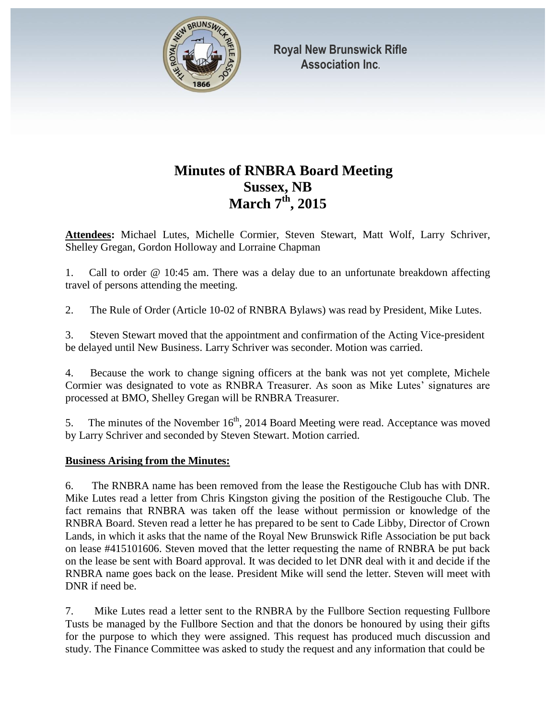

# **Minutes of RNBRA Board Meeting Sussex, NB March 7th, 2015**

**Attendees:** Michael Lutes, Michelle Cormier, Steven Stewart, Matt Wolf, Larry Schriver, Shelley Gregan, Gordon Holloway and Lorraine Chapman

1. Call to order @ 10:45 am. There was a delay due to an unfortunate breakdown affecting travel of persons attending the meeting.

2. The Rule of Order (Article 10-02 of RNBRA Bylaws) was read by President, Mike Lutes.

3. Steven Stewart moved that the appointment and confirmation of the Acting Vice-president be delayed until New Business. Larry Schriver was seconder. Motion was carried.

4. Because the work to change signing officers at the bank was not yet complete, Michele Cormier was designated to vote as RNBRA Treasurer. As soon as Mike Lutes' signatures are processed at BMO, Shelley Gregan will be RNBRA Treasurer.

5. The minutes of the November  $16<sup>th</sup>$ , 2014 Board Meeting were read. Acceptance was moved by Larry Schriver and seconded by Steven Stewart. Motion carried.

### **Business Arising from the Minutes:**

6. The RNBRA name has been removed from the lease the Restigouche Club has with DNR. Mike Lutes read a letter from Chris Kingston giving the position of the Restigouche Club. The fact remains that RNBRA was taken off the lease without permission or knowledge of the RNBRA Board. Steven read a letter he has prepared to be sent to Cade Libby, Director of Crown Lands, in which it asks that the name of the Royal New Brunswick Rifle Association be put back on lease #415101606. Steven moved that the letter requesting the name of RNBRA be put back on the lease be sent with Board approval. It was decided to let DNR deal with it and decide if the RNBRA name goes back on the lease. President Mike will send the letter. Steven will meet with DNR if need be.

7. Mike Lutes read a letter sent to the RNBRA by the Fullbore Section requesting Fullbore Tusts be managed by the Fullbore Section and that the donors be honoured by using their gifts for the purpose to which they were assigned. This request has produced much discussion and study. The Finance Committee was asked to study the request and any information that could be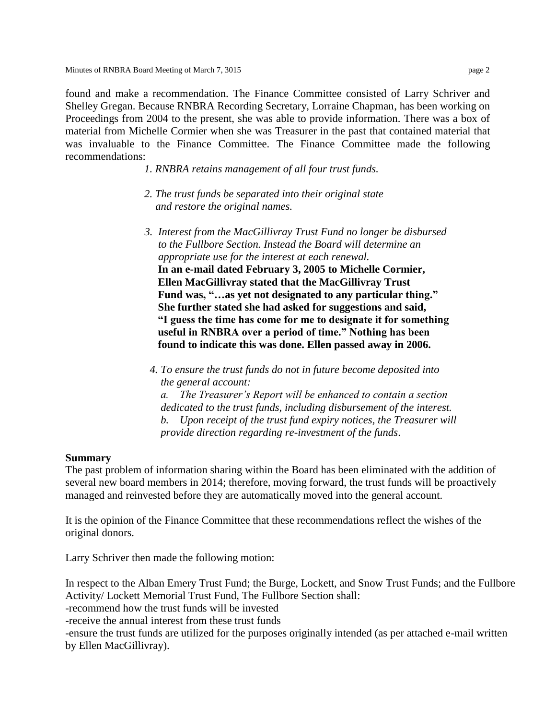found and make a recommendation. The Finance Committee consisted of Larry Schriver and Shelley Gregan. Because RNBRA Recording Secretary, Lorraine Chapman, has been working on Proceedings from 2004 to the present, she was able to provide information. There was a box of material from Michelle Cormier when she was Treasurer in the past that contained material that was invaluable to the Finance Committee. The Finance Committee made the following recommendations:

- *1. RNBRA retains management of all four trust funds.*
- *2. The trust funds be separated into their original state and restore the original names.*
- *3. Interest from the MacGillivray Trust Fund no longer be disbursed to the Fullbore Section. Instead the Board will determine an appropriate use for the interest at each renewal.*   **In an e-mail dated February 3, 2005 to Michelle Cormier, Ellen MacGillivray stated that the MacGillivray Trust Fund was, "…as yet not designated to any particular thing." She further stated she had asked for suggestions and said, "I guess the time has come for me to designate it for something useful in RNBRA over a period of time." Nothing has been found to indicate this was done. Ellen passed away in 2006.**
- *4. To ensure the trust funds do not in future become deposited into the general account: a. The Treasurer's Report will be enhanced to contain a section dedicated to the trust funds, including disbursement of the interest. b. Upon receipt of the trust fund expiry notices, the Treasurer will provide direction regarding re-investment of the funds*.

#### **Summary**

The past problem of information sharing within the Board has been eliminated with the addition of several new board members in 2014; therefore, moving forward, the trust funds will be proactively managed and reinvested before they are automatically moved into the general account.

It is the opinion of the Finance Committee that these recommendations reflect the wishes of the original donors.

Larry Schriver then made the following motion:

In respect to the Alban Emery Trust Fund; the Burge, Lockett, and Snow Trust Funds; and the Fullbore Activity/ Lockett Memorial Trust Fund, The Fullbore Section shall:

-recommend how the trust funds will be invested

-receive the annual interest from these trust funds

-ensure the trust funds are utilized for the purposes originally intended (as per attached e-mail written by Ellen MacGillivray).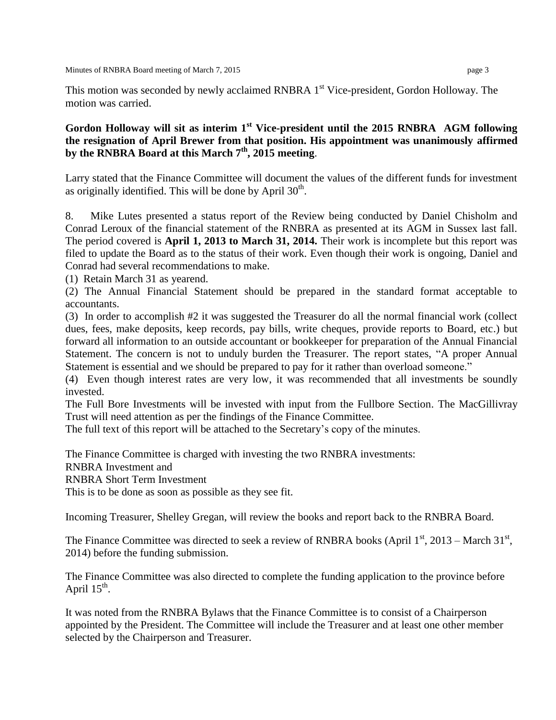This motion was seconded by newly acclaimed RNBRA 1<sup>st</sup> Vice-president, Gordon Holloway. The motion was carried.

## **Gordon Holloway will sit as interim 1st Vice-president until the 2015 RNBRA AGM following the resignation of April Brewer from that position. His appointment was unanimously affirmed by the RNBRA Board at this March 7th, 2015 meeting**.

Larry stated that the Finance Committee will document the values of the different funds for investment as originally identified. This will be done by April  $30<sup>th</sup>$ .

8. Mike Lutes presented a status report of the Review being conducted by Daniel Chisholm and Conrad Leroux of the financial statement of the RNBRA as presented at its AGM in Sussex last fall. The period covered is **April 1, 2013 to March 31, 2014.** Their work is incomplete but this report was filed to update the Board as to the status of their work. Even though their work is ongoing, Daniel and Conrad had several recommendations to make.

(1) Retain March 31 as yearend.

(2) The Annual Financial Statement should be prepared in the standard format acceptable to accountants.

(3) In order to accomplish #2 it was suggested the Treasurer do all the normal financial work (collect dues, fees, make deposits, keep records, pay bills, write cheques, provide reports to Board, etc.) but forward all information to an outside accountant or bookkeeper for preparation of the Annual Financial Statement. The concern is not to unduly burden the Treasurer. The report states, "A proper Annual Statement is essential and we should be prepared to pay for it rather than overload someone."

(4) Even though interest rates are very low, it was recommended that all investments be soundly invested.

The Full Bore Investments will be invested with input from the Fullbore Section. The MacGillivray Trust will need attention as per the findings of the Finance Committee.

The full text of this report will be attached to the Secretary's copy of the minutes.

The Finance Committee is charged with investing the two RNBRA investments:

RNBRA Investment and

RNBRA Short Term Investment

This is to be done as soon as possible as they see fit.

Incoming Treasurer, Shelley Gregan, will review the books and report back to the RNBRA Board.

The Finance Committee was directed to seek a review of RNBRA books (April  $1<sup>st</sup>$ , 2013 – March  $31<sup>st</sup>$ , 2014) before the funding submission.

The Finance Committee was also directed to complete the funding application to the province before April  $15^{\text{th}}$ .

It was noted from the RNBRA Bylaws that the Finance Committee is to consist of a Chairperson appointed by the President. The Committee will include the Treasurer and at least one other member selected by the Chairperson and Treasurer.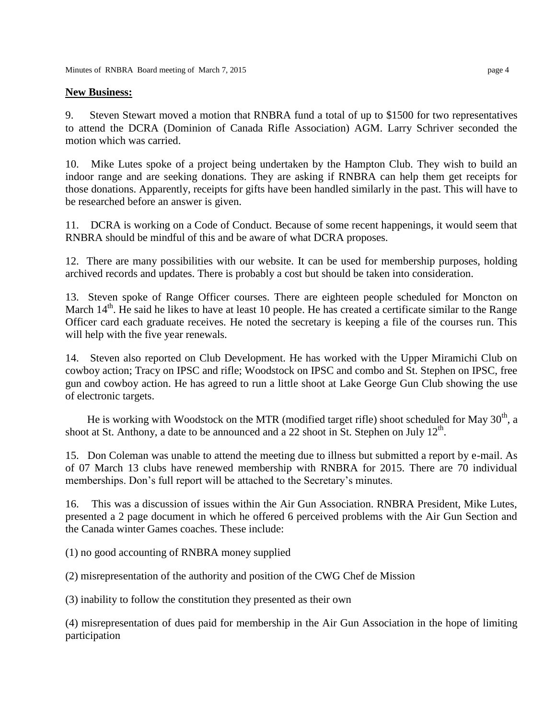#### **New Business:**

9. Steven Stewart moved a motion that RNBRA fund a total of up to \$1500 for two representatives to attend the DCRA (Dominion of Canada Rifle Association) AGM. Larry Schriver seconded the motion which was carried.

10. Mike Lutes spoke of a project being undertaken by the Hampton Club. They wish to build an indoor range and are seeking donations. They are asking if RNBRA can help them get receipts for those donations. Apparently, receipts for gifts have been handled similarly in the past. This will have to be researched before an answer is given.

11. DCRA is working on a Code of Conduct. Because of some recent happenings, it would seem that RNBRA should be mindful of this and be aware of what DCRA proposes.

12. There are many possibilities with our website. It can be used for membership purposes, holding archived records and updates. There is probably a cost but should be taken into consideration.

13. Steven spoke of Range Officer courses. There are eighteen people scheduled for Moncton on March  $14<sup>th</sup>$ . He said he likes to have at least 10 people. He has created a certificate similar to the Range Officer card each graduate receives. He noted the secretary is keeping a file of the courses run. This will help with the five year renewals.

14. Steven also reported on Club Development. He has worked with the Upper Miramichi Club on cowboy action; Tracy on IPSC and rifle; Woodstock on IPSC and combo and St. Stephen on IPSC, free gun and cowboy action. He has agreed to run a little shoot at Lake George Gun Club showing the use of electronic targets.

He is working with Woodstock on the MTR (modified target rifle) shoot scheduled for May  $30<sup>th</sup>$ , a shoot at St. Anthony, a date to be announced and a 22 shoot in St. Stephen on July  $12<sup>th</sup>$ .

15. Don Coleman was unable to attend the meeting due to illness but submitted a report by e-mail. As of 07 March 13 clubs have renewed membership with RNBRA for 2015. There are 70 individual memberships. Don's full report will be attached to the Secretary's minutes.

16. This was a discussion of issues within the Air Gun Association. RNBRA President, Mike Lutes, presented a 2 page document in which he offered 6 perceived problems with the Air Gun Section and the Canada winter Games coaches. These include:

(1) no good accounting of RNBRA money supplied

(2) misrepresentation of the authority and position of the CWG Chef de Mission

(3) inability to follow the constitution they presented as their own

(4) misrepresentation of dues paid for membership in the Air Gun Association in the hope of limiting participation